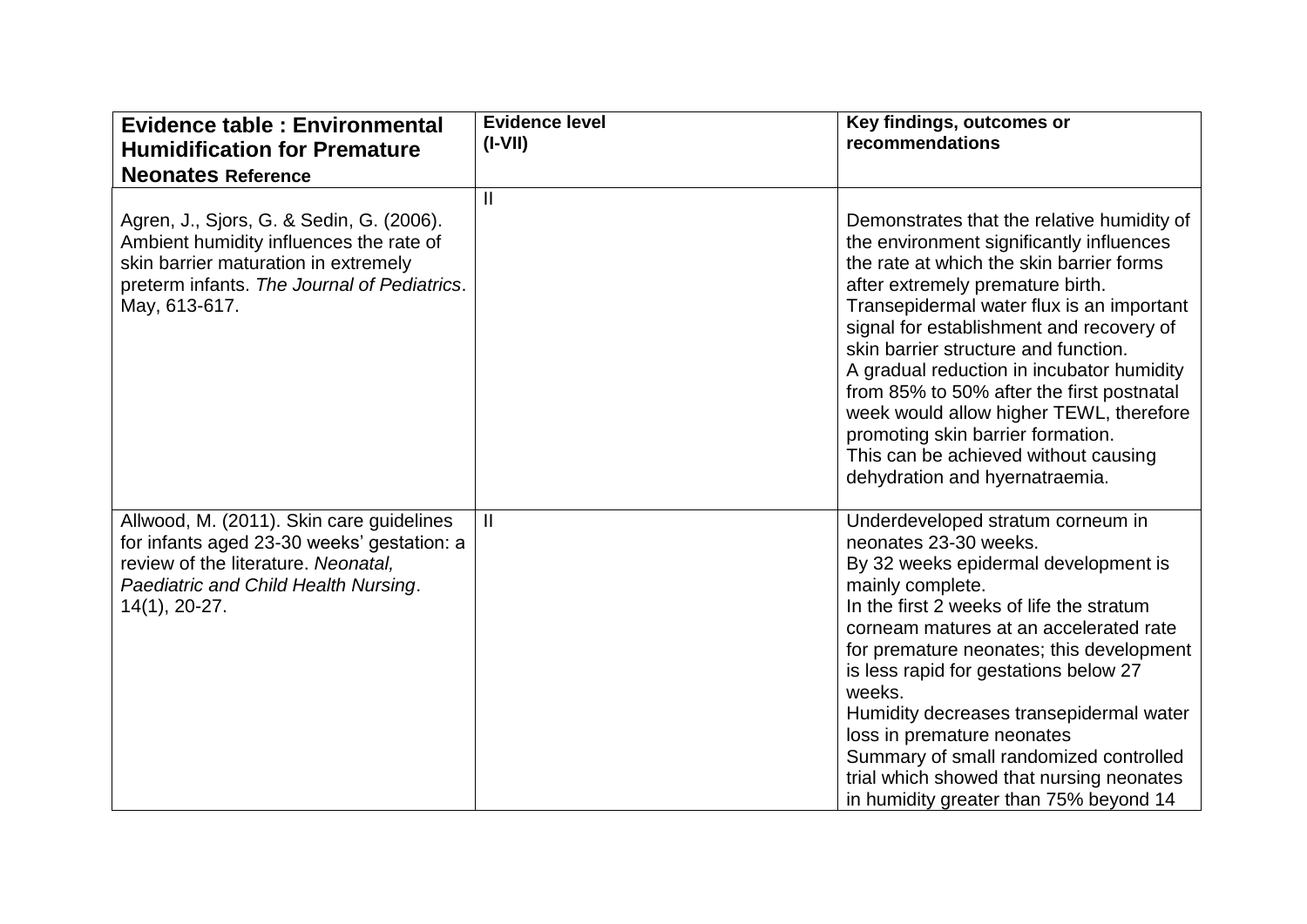| <b>Evidence table: Environmental</b><br><b>Humidification for Premature</b>                                                                                                                 | <b>Evidence level</b><br>$(I-VII)$ | Key findings, outcomes or<br>recommendations                                                                                                                                                                                                                                                                                                                                                                                                                                                                                                                |
|---------------------------------------------------------------------------------------------------------------------------------------------------------------------------------------------|------------------------------------|-------------------------------------------------------------------------------------------------------------------------------------------------------------------------------------------------------------------------------------------------------------------------------------------------------------------------------------------------------------------------------------------------------------------------------------------------------------------------------------------------------------------------------------------------------------|
| <b>Neonates Reference</b>                                                                                                                                                                   |                                    |                                                                                                                                                                                                                                                                                                                                                                                                                                                                                                                                                             |
| Agren, J., Sjors, G. & Sedin, G. (2006).<br>Ambient humidity influences the rate of<br>skin barrier maturation in extremely<br>preterm infants. The Journal of Pediatrics.<br>May, 613-617. | $\mathbf{I}$                       | Demonstrates that the relative humidity of<br>the environment significantly influences<br>the rate at which the skin barrier forms<br>after extremely premature birth.<br>Transepidermal water flux is an important<br>signal for establishment and recovery of<br>skin barrier structure and function.<br>A gradual reduction in incubator humidity<br>from 85% to 50% after the first postnatal<br>week would allow higher TEWL, therefore<br>promoting skin barrier formation.<br>This can be achieved without causing<br>dehydration and hyernatraemia. |
| Allwood, M. (2011). Skin care guidelines<br>for infants aged 23-30 weeks' gestation: a<br>review of the literature. Neonatal,<br>Paediatric and Child Health Nursing.<br>$14(1), 20-27.$    | $\mathbf{II}$                      | Underdeveloped stratum corneum in<br>neonates 23-30 weeks.<br>By 32 weeks epidermal development is<br>mainly complete.<br>In the first 2 weeks of life the stratum<br>corneam matures at an accelerated rate<br>for premature neonates; this development<br>is less rapid for gestations below 27<br>weeks.<br>Humidity decreases transepidermal water<br>loss in premature neonates<br>Summary of small randomized controlled<br>trial which showed that nursing neonates<br>in humidity greater than 75% beyond 14                                        |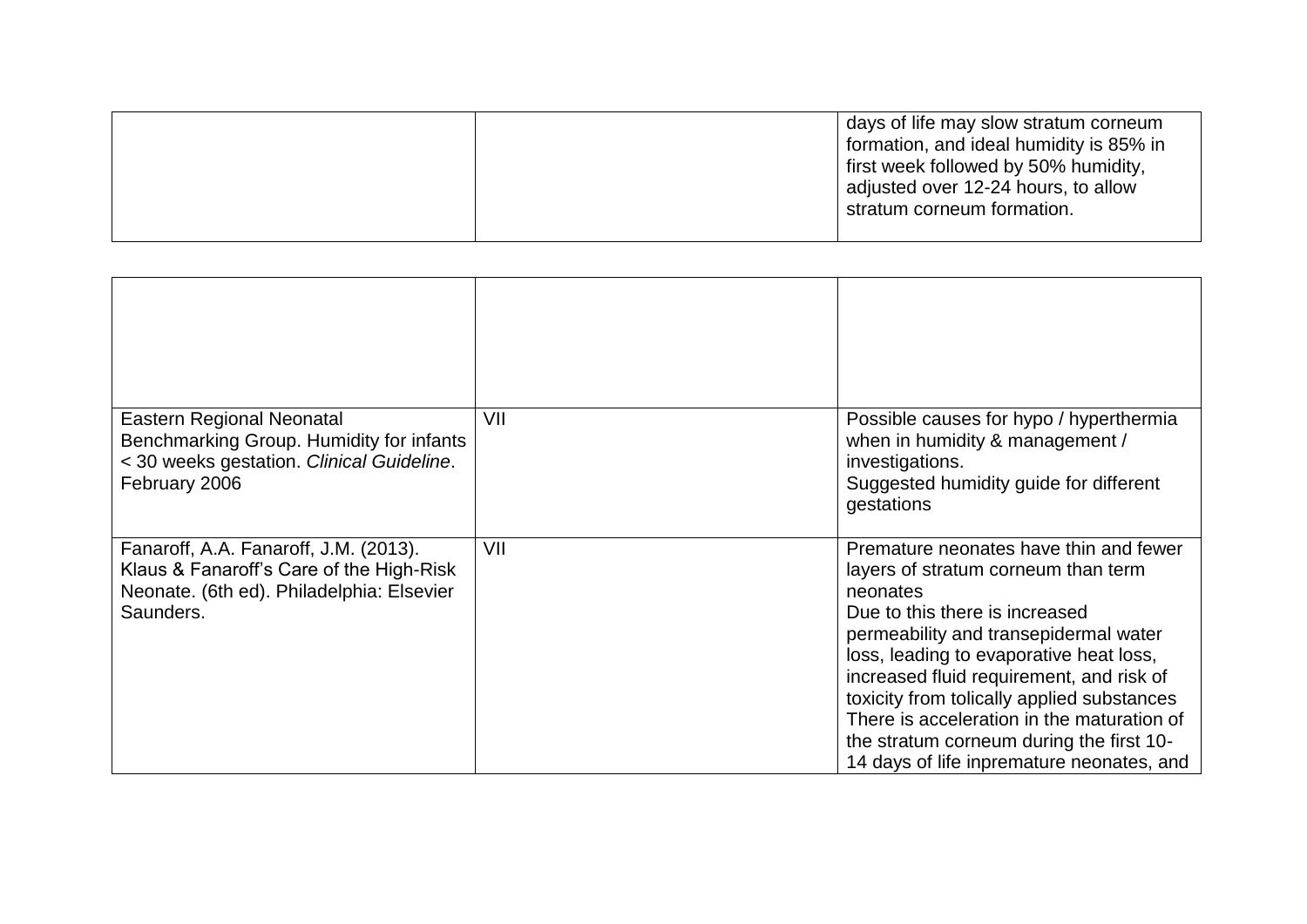| formation, and ideal humidity is 85% in<br>first week followed by 50% humidity, |
|---------------------------------------------------------------------------------|
| adjusted over 12-24 hours, to allow<br>stratum corneum formation.               |

| Eastern Regional Neonatal<br>Benchmarking Group. Humidity for infants<br>< 30 weeks gestation. Clinical Guideline.<br>February 2006         | VII | Possible causes for hypo / hyperthermia<br>when in humidity & management /<br>investigations.<br>Suggested humidity guide for different<br>gestations                                                                                                                                                                                                                                                                                            |
|---------------------------------------------------------------------------------------------------------------------------------------------|-----|--------------------------------------------------------------------------------------------------------------------------------------------------------------------------------------------------------------------------------------------------------------------------------------------------------------------------------------------------------------------------------------------------------------------------------------------------|
| Fanaroff, A.A. Fanaroff, J.M. (2013).<br>Klaus & Fanaroff's Care of the High-Risk<br>Neonate. (6th ed). Philadelphia: Elsevier<br>Saunders. | VII | Premature neonates have thin and fewer<br>layers of stratum corneum than term<br>neonates<br>Due to this there is increased<br>permeability and transepidermal water<br>loss, leading to evaporative heat loss,<br>increased fluid requirement, and risk of<br>toxicity from tolically applied substances<br>There is acceleration in the maturation of<br>the stratum corneum during the first 10-<br>14 days of life inpremature neonates, and |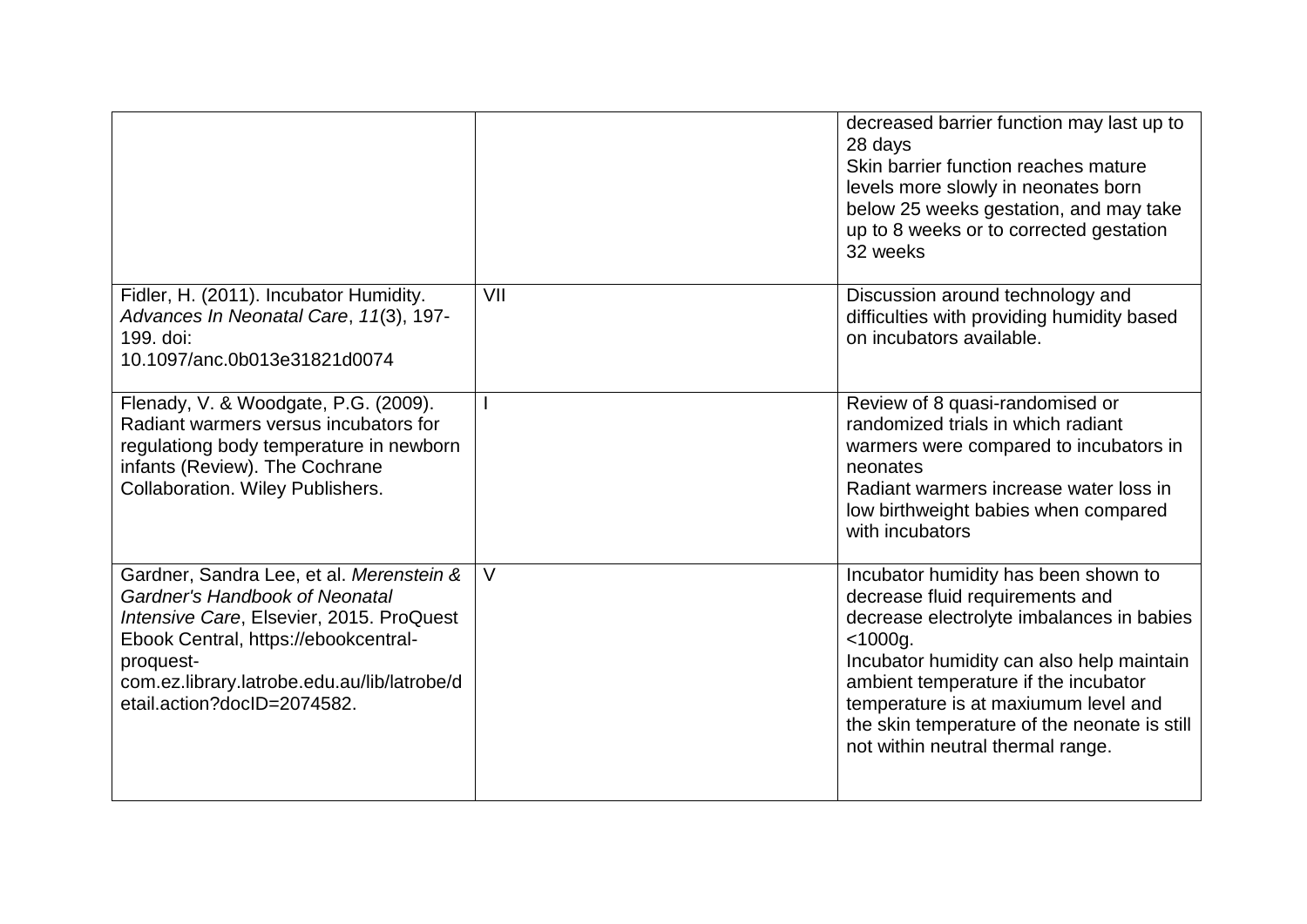|                                                                                                                                                                                                                                                           |     | decreased barrier function may last up to<br>28 days<br>Skin barrier function reaches mature<br>levels more slowly in neonates born<br>below 25 weeks gestation, and may take<br>up to 8 weeks or to corrected gestation<br>32 weeks                                                                                                                 |
|-----------------------------------------------------------------------------------------------------------------------------------------------------------------------------------------------------------------------------------------------------------|-----|------------------------------------------------------------------------------------------------------------------------------------------------------------------------------------------------------------------------------------------------------------------------------------------------------------------------------------------------------|
| Fidler, H. (2011). Incubator Humidity.<br>Advances In Neonatal Care, 11(3), 197-<br>199. doi:<br>10.1097/anc.0b013e31821d0074                                                                                                                             | VII | Discussion around technology and<br>difficulties with providing humidity based<br>on incubators available.                                                                                                                                                                                                                                           |
| Flenady, V. & Woodgate, P.G. (2009).<br>Radiant warmers versus incubators for<br>regulationg body temperature in newborn<br>infants (Review). The Cochrane<br><b>Collaboration. Wiley Publishers.</b>                                                     |     | Review of 8 quasi-randomised or<br>randomized trials in which radiant<br>warmers were compared to incubators in<br>neonates<br>Radiant warmers increase water loss in<br>low birthweight babies when compared<br>with incubators                                                                                                                     |
| Gardner, Sandra Lee, et al. Merenstein &<br>Gardner's Handbook of Neonatal<br>Intensive Care, Elsevier, 2015. ProQuest<br>Ebook Central, https://ebookcentral-<br>proquest-<br>com.ez.library.latrobe.edu.au/lib/latrobe/d<br>etail.action?docID=2074582. | V   | Incubator humidity has been shown to<br>decrease fluid requirements and<br>decrease electrolyte imbalances in babies<br>$<$ 1000g.<br>Incubator humidity can also help maintain<br>ambient temperature if the incubator<br>temperature is at maxiumum level and<br>the skin temperature of the neonate is still<br>not within neutral thermal range. |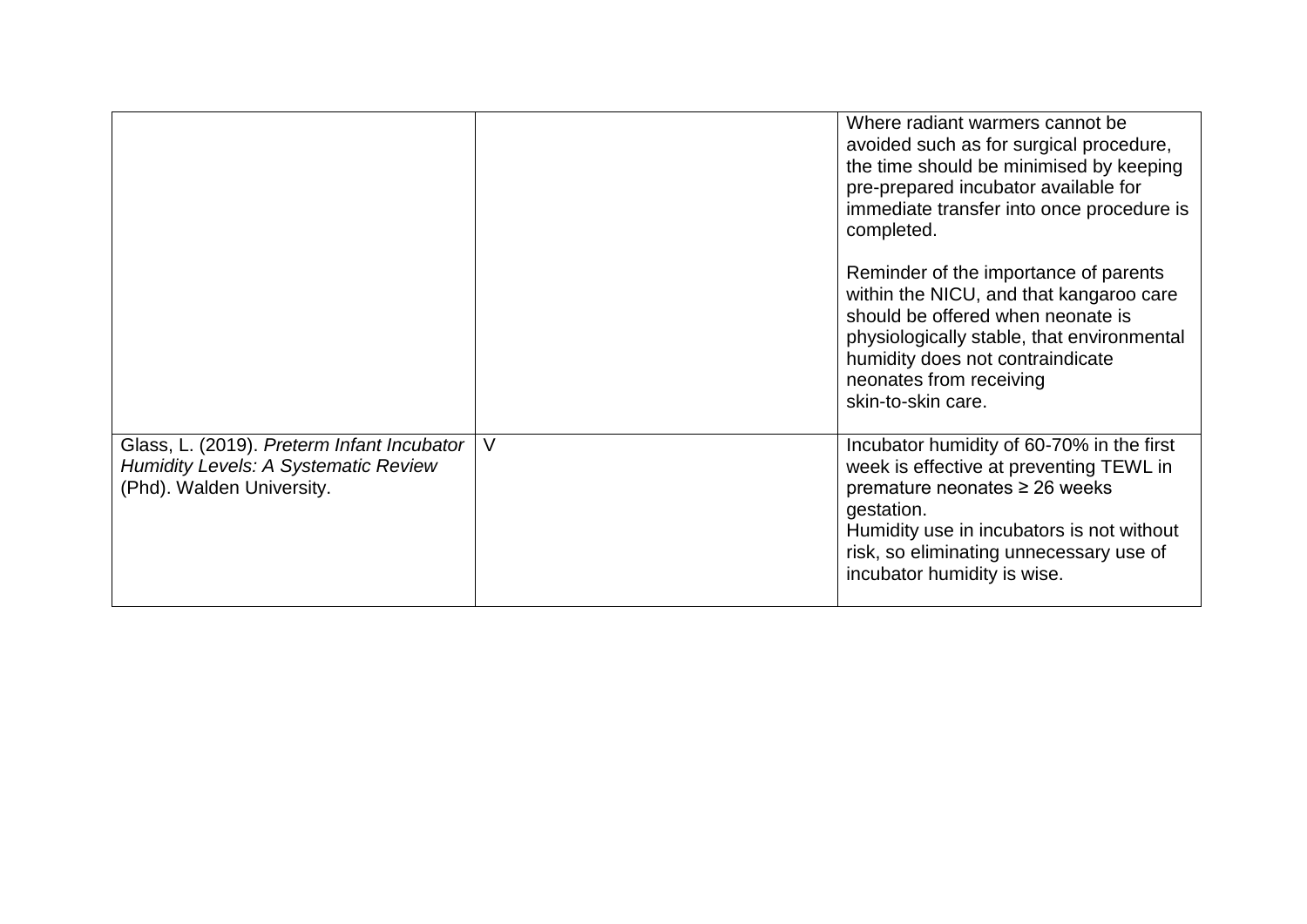|                                                                                                                          |   | Where radiant warmers cannot be<br>avoided such as for surgical procedure,<br>the time should be minimised by keeping<br>pre-prepared incubator available for<br>immediate transfer into once procedure is<br>completed.                                   |
|--------------------------------------------------------------------------------------------------------------------------|---|------------------------------------------------------------------------------------------------------------------------------------------------------------------------------------------------------------------------------------------------------------|
|                                                                                                                          |   | Reminder of the importance of parents<br>within the NICU, and that kangaroo care<br>should be offered when neonate is<br>physiologically stable, that environmental<br>humidity does not contraindicate<br>neonates from receiving<br>skin-to-skin care.   |
| Glass, L. (2019). Preterm Infant Incubator  <br><b>Humidity Levels: A Systematic Review</b><br>(Phd). Walden University. | V | Incubator humidity of 60-70% in the first<br>week is effective at preventing TEWL in<br>premature neonates ≥ 26 weeks<br>gestation.<br>Humidity use in incubators is not without<br>risk, so eliminating unnecessary use of<br>incubator humidity is wise. |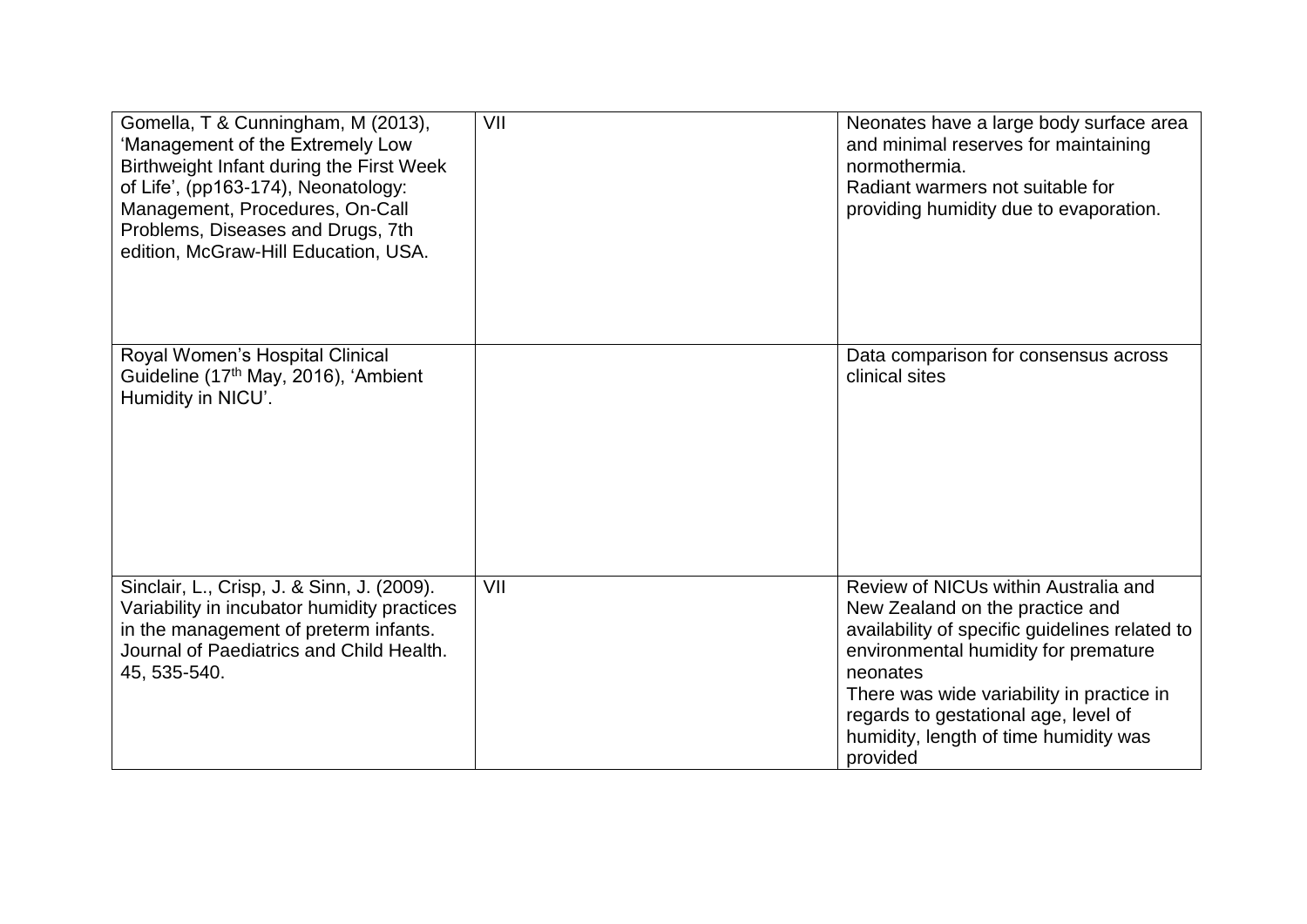| Gomella, T & Cunningham, M (2013),<br>'Management of the Extremely Low<br>Birthweight Infant during the First Week<br>of Life', (pp163-174), Neonatology:<br>Management, Procedures, On-Call<br>Problems, Diseases and Drugs, 7th<br>edition, McGraw-Hill Education, USA. | VII | Neonates have a large body surface area<br>and minimal reserves for maintaining<br>normothermia.<br>Radiant warmers not suitable for<br>providing humidity due to evaporation.                                                                                                                                          |
|---------------------------------------------------------------------------------------------------------------------------------------------------------------------------------------------------------------------------------------------------------------------------|-----|-------------------------------------------------------------------------------------------------------------------------------------------------------------------------------------------------------------------------------------------------------------------------------------------------------------------------|
| Royal Women's Hospital Clinical<br>Guideline (17 <sup>th</sup> May, 2016), 'Ambient<br>Humidity in NICU'.                                                                                                                                                                 |     | Data comparison for consensus across<br>clinical sites                                                                                                                                                                                                                                                                  |
| Sinclair, L., Crisp, J. & Sinn, J. (2009).<br>Variability in incubator humidity practices<br>in the management of preterm infants.<br>Journal of Paediatrics and Child Health.<br>45, 535-540.                                                                            | VII | Review of NICUs within Australia and<br>New Zealand on the practice and<br>availability of specific guidelines related to<br>environmental humidity for premature<br>neonates<br>There was wide variability in practice in<br>regards to gestational age, level of<br>humidity, length of time humidity was<br>provided |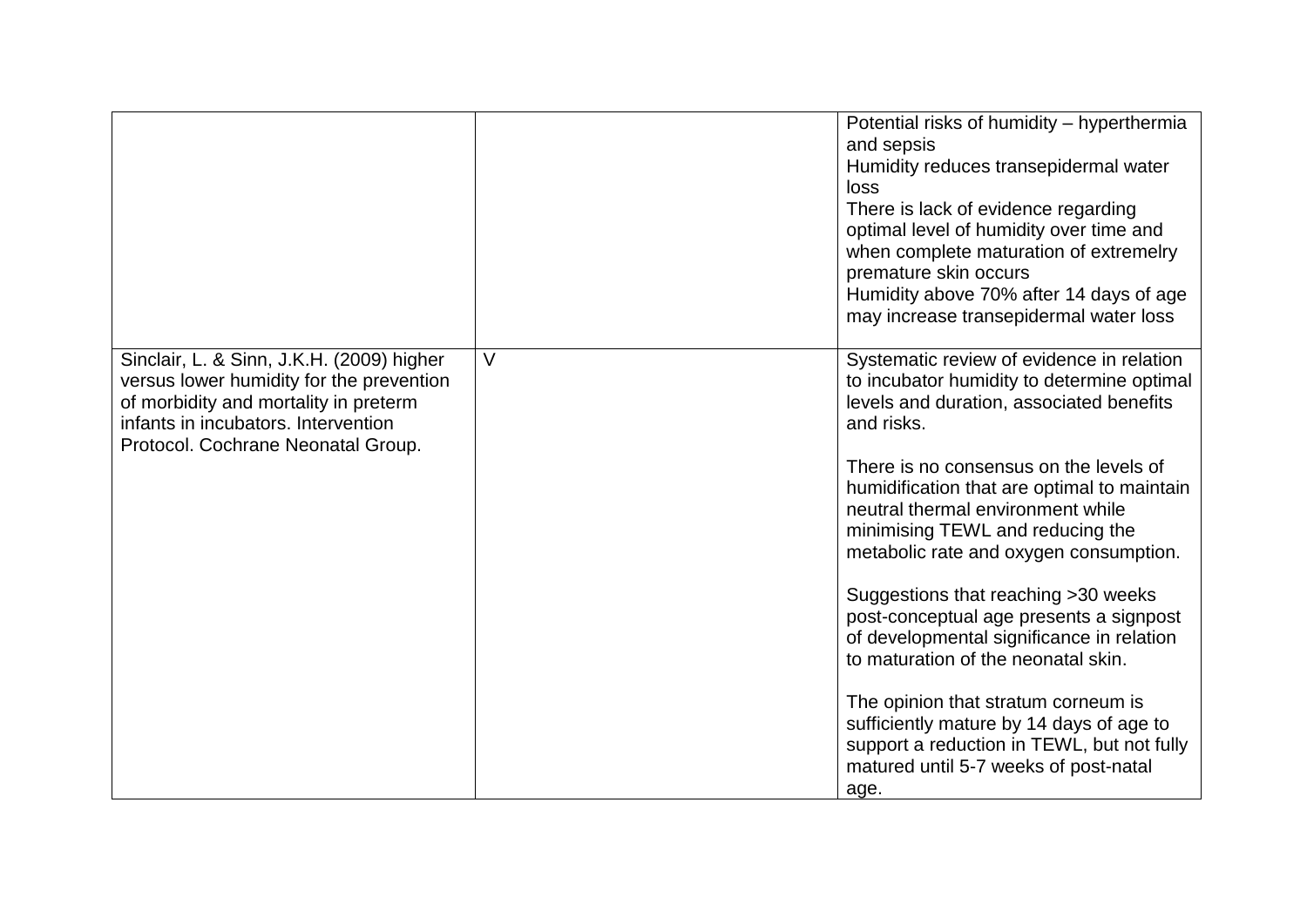|                                                                                                                                                                                                             |        | Potential risks of humidity - hyperthermia<br>and sepsis<br>Humidity reduces transepidermal water<br>loss<br>There is lack of evidence regarding<br>optimal level of humidity over time and<br>when complete maturation of extremelry<br>premature skin occurs<br>Humidity above 70% after 14 days of age<br>may increase transepidermal water loss                                                                                                                                                                                                                                                                                                                   |
|-------------------------------------------------------------------------------------------------------------------------------------------------------------------------------------------------------------|--------|-----------------------------------------------------------------------------------------------------------------------------------------------------------------------------------------------------------------------------------------------------------------------------------------------------------------------------------------------------------------------------------------------------------------------------------------------------------------------------------------------------------------------------------------------------------------------------------------------------------------------------------------------------------------------|
| Sinclair, L. & Sinn, J.K.H. (2009) higher<br>versus lower humidity for the prevention<br>of morbidity and mortality in preterm<br>infants in incubators. Intervention<br>Protocol. Cochrane Neonatal Group. | $\vee$ | Systematic review of evidence in relation<br>to incubator humidity to determine optimal<br>levels and duration, associated benefits<br>and risks.<br>There is no consensus on the levels of<br>humidification that are optimal to maintain<br>neutral thermal environment while<br>minimising TEWL and reducing the<br>metabolic rate and oxygen consumption.<br>Suggestions that reaching > 30 weeks<br>post-conceptual age presents a signpost<br>of developmental significance in relation<br>to maturation of the neonatal skin.<br>The opinion that stratum corneum is<br>sufficiently mature by 14 days of age to<br>support a reduction in TEWL, but not fully |